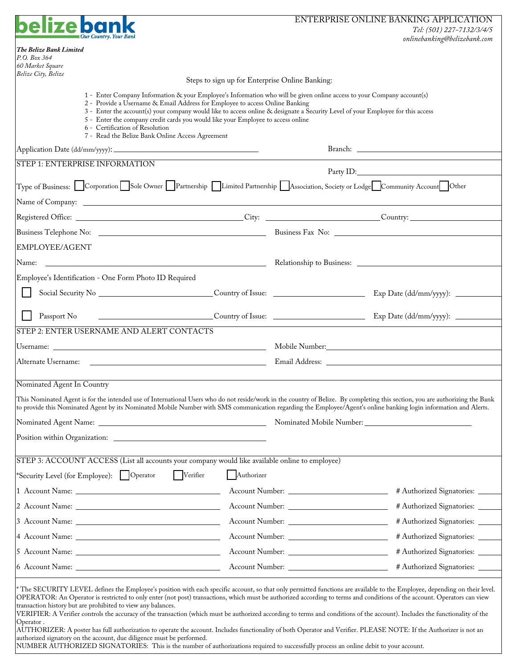|                                                                                                                                                                                                                                                                                                                                                                                                                                                                                                                                                                                                                                                                                                                                                                                                                                                                                                                                                                                                             | ENTERPRISE ONLINE BANKING APPLICATION<br>Tel: (501) 227-7132/3/4/5 |                                                                                                            |                                 |  |  |  |
|-------------------------------------------------------------------------------------------------------------------------------------------------------------------------------------------------------------------------------------------------------------------------------------------------------------------------------------------------------------------------------------------------------------------------------------------------------------------------------------------------------------------------------------------------------------------------------------------------------------------------------------------------------------------------------------------------------------------------------------------------------------------------------------------------------------------------------------------------------------------------------------------------------------------------------------------------------------------------------------------------------------|--------------------------------------------------------------------|------------------------------------------------------------------------------------------------------------|---------------------------------|--|--|--|
|                                                                                                                                                                                                                                                                                                                                                                                                                                                                                                                                                                                                                                                                                                                                                                                                                                                                                                                                                                                                             |                                                                    |                                                                                                            | onlinebanking@belizebank.com    |  |  |  |
| The Belize Bank Limited<br>P.O. Box 364                                                                                                                                                                                                                                                                                                                                                                                                                                                                                                                                                                                                                                                                                                                                                                                                                                                                                                                                                                     |                                                                    |                                                                                                            |                                 |  |  |  |
| 60 Market Square<br>Belize City, Belize                                                                                                                                                                                                                                                                                                                                                                                                                                                                                                                                                                                                                                                                                                                                                                                                                                                                                                                                                                     |                                                                    |                                                                                                            |                                 |  |  |  |
|                                                                                                                                                                                                                                                                                                                                                                                                                                                                                                                                                                                                                                                                                                                                                                                                                                                                                                                                                                                                             |                                                                    | Steps to sign up for Enterprise Online Banking:                                                            |                                 |  |  |  |
| 1 - Enter Company Information & your Employee's Information who will be given online access to your Company account(s)<br>2 - Provide a Username & Email Address for Employee to access Online Banking<br>3 - Enter the account(s) your company would like to access online & designate a Security Level of your Employee for this access<br>5 - Enter the company credit cards you would like your Employee to access online<br>6 - Certification of Resolution<br>7 - Read the Belize Bank Online Access Agreement                                                                                                                                                                                                                                                                                                                                                                                                                                                                                        |                                                                    |                                                                                                            |                                 |  |  |  |
|                                                                                                                                                                                                                                                                                                                                                                                                                                                                                                                                                                                                                                                                                                                                                                                                                                                                                                                                                                                                             |                                                                    |                                                                                                            |                                 |  |  |  |
| <b>STEP 1: ENTERPRISE INFORMATION</b>                                                                                                                                                                                                                                                                                                                                                                                                                                                                                                                                                                                                                                                                                                                                                                                                                                                                                                                                                                       |                                                                    |                                                                                                            |                                 |  |  |  |
| Type of Business: Corporation Sole Owner Partnership Limited Partnership Association, Society or Lodge Community Account                                                                                                                                                                                                                                                                                                                                                                                                                                                                                                                                                                                                                                                                                                                                                                                                                                                                                    |                                                                    |                                                                                                            |                                 |  |  |  |
|                                                                                                                                                                                                                                                                                                                                                                                                                                                                                                                                                                                                                                                                                                                                                                                                                                                                                                                                                                                                             |                                                                    |                                                                                                            |                                 |  |  |  |
|                                                                                                                                                                                                                                                                                                                                                                                                                                                                                                                                                                                                                                                                                                                                                                                                                                                                                                                                                                                                             |                                                                    |                                                                                                            |                                 |  |  |  |
|                                                                                                                                                                                                                                                                                                                                                                                                                                                                                                                                                                                                                                                                                                                                                                                                                                                                                                                                                                                                             |                                                                    |                                                                                                            |                                 |  |  |  |
| EMPLOYEE/AGENT                                                                                                                                                                                                                                                                                                                                                                                                                                                                                                                                                                                                                                                                                                                                                                                                                                                                                                                                                                                              |                                                                    |                                                                                                            |                                 |  |  |  |
| Name: Name: Name: Name: Name: Name: Name: Name: Name: Name: Name: Name: Name: Name: Name: Name: Name: Name: Name: Name: Name: Name: Name: Name: Name: Name: Name: Name: Name: Name: Name: Name: Name: Name: Name: Name: Name:                                                                                                                                                                                                                                                                                                                                                                                                                                                                                                                                                                                                                                                                                                                                                                               |                                                                    |                                                                                                            |                                 |  |  |  |
| Employee's Identification - One Form Photo ID Required                                                                                                                                                                                                                                                                                                                                                                                                                                                                                                                                                                                                                                                                                                                                                                                                                                                                                                                                                      |                                                                    |                                                                                                            |                                 |  |  |  |
|                                                                                                                                                                                                                                                                                                                                                                                                                                                                                                                                                                                                                                                                                                                                                                                                                                                                                                                                                                                                             |                                                                    |                                                                                                            |                                 |  |  |  |
| Passport No                                                                                                                                                                                                                                                                                                                                                                                                                                                                                                                                                                                                                                                                                                                                                                                                                                                                                                                                                                                                 |                                                                    | Country of Issue: Country of Issue: Country of Issue: Country of Issue: Exp Date (dd/mm/yyyy): ___________ |                                 |  |  |  |
| STEP 2: ENTER USERNAME AND ALERT CONTACTS                                                                                                                                                                                                                                                                                                                                                                                                                                                                                                                                                                                                                                                                                                                                                                                                                                                                                                                                                                   |                                                                    |                                                                                                            |                                 |  |  |  |
|                                                                                                                                                                                                                                                                                                                                                                                                                                                                                                                                                                                                                                                                                                                                                                                                                                                                                                                                                                                                             |                                                                    |                                                                                                            |                                 |  |  |  |
|                                                                                                                                                                                                                                                                                                                                                                                                                                                                                                                                                                                                                                                                                                                                                                                                                                                                                                                                                                                                             |                                                                    |                                                                                                            |                                 |  |  |  |
|                                                                                                                                                                                                                                                                                                                                                                                                                                                                                                                                                                                                                                                                                                                                                                                                                                                                                                                                                                                                             |                                                                    |                                                                                                            |                                 |  |  |  |
| Nominated Agent In Country<br>This Nominated Agent is for the intended use of International Users who do not reside/work in the country of Belize. By completing this section, you are authorizing the Bank                                                                                                                                                                                                                                                                                                                                                                                                                                                                                                                                                                                                                                                                                                                                                                                                 |                                                                    |                                                                                                            |                                 |  |  |  |
| to provide this Nominated Agent by its Nominated Mobile Number with SMS communication regarding the Employee/Agent's online banking login information and Alerts.                                                                                                                                                                                                                                                                                                                                                                                                                                                                                                                                                                                                                                                                                                                                                                                                                                           |                                                                    |                                                                                                            |                                 |  |  |  |
|                                                                                                                                                                                                                                                                                                                                                                                                                                                                                                                                                                                                                                                                                                                                                                                                                                                                                                                                                                                                             |                                                                    |                                                                                                            |                                 |  |  |  |
|                                                                                                                                                                                                                                                                                                                                                                                                                                                                                                                                                                                                                                                                                                                                                                                                                                                                                                                                                                                                             |                                                                    |                                                                                                            |                                 |  |  |  |
| STEP 3: ACCOUNT ACCESS (List all accounts your company would like available online to employee)                                                                                                                                                                                                                                                                                                                                                                                                                                                                                                                                                                                                                                                                                                                                                                                                                                                                                                             |                                                                    |                                                                                                            |                                 |  |  |  |
| Verifier<br>*Security Level (for Employee):   Operator                                                                                                                                                                                                                                                                                                                                                                                                                                                                                                                                                                                                                                                                                                                                                                                                                                                                                                                                                      | Authorizer                                                         |                                                                                                            |                                 |  |  |  |
|                                                                                                                                                                                                                                                                                                                                                                                                                                                                                                                                                                                                                                                                                                                                                                                                                                                                                                                                                                                                             |                                                                    |                                                                                                            | # Authorized Signatories: _____ |  |  |  |
|                                                                                                                                                                                                                                                                                                                                                                                                                                                                                                                                                                                                                                                                                                                                                                                                                                                                                                                                                                                                             |                                                                    |                                                                                                            | # Authorized Signatories: ____  |  |  |  |
|                                                                                                                                                                                                                                                                                                                                                                                                                                                                                                                                                                                                                                                                                                                                                                                                                                                                                                                                                                                                             |                                                                    |                                                                                                            | # Authorized Signatories: _____ |  |  |  |
|                                                                                                                                                                                                                                                                                                                                                                                                                                                                                                                                                                                                                                                                                                                                                                                                                                                                                                                                                                                                             |                                                                    |                                                                                                            | # Authorized Signatories: _____ |  |  |  |
|                                                                                                                                                                                                                                                                                                                                                                                                                                                                                                                                                                                                                                                                                                                                                                                                                                                                                                                                                                                                             |                                                                    |                                                                                                            | # Authorized Signatories: ____  |  |  |  |
|                                                                                                                                                                                                                                                                                                                                                                                                                                                                                                                                                                                                                                                                                                                                                                                                                                                                                                                                                                                                             |                                                                    |                                                                                                            | # Authorized Signatories: ____  |  |  |  |
|                                                                                                                                                                                                                                                                                                                                                                                                                                                                                                                                                                                                                                                                                                                                                                                                                                                                                                                                                                                                             |                                                                    |                                                                                                            |                                 |  |  |  |
| * The SECURITY LEVEL defines the Employee's position with each specific account, so that only permitted functions are available to the Employee, depending on their level.<br>OPERATOR: An Operator is restricted to only enter (not post) transactions, which must be authorized according to terms and conditions of the account. Operators can view<br>transaction history but are prohibited to view any balances.<br>VERIFIER: A Verifier controls the accuracy of the transaction (which must be authorized according to terms and conditions of the account). Includes the functionality of the<br>Operator.<br>AUTHORIZER: A poster has full authorization to operate the account. Includes functionality of both Operator and Verifier. PLEASE NOTE: If the Authorizer is not an<br>authorized signatory on the account, due diligence must be performed.<br>NUMBER AUTHORIZED SIGNATORIES: This is the number of authorizations required to successfully process an online debit to your account. |                                                                    |                                                                                                            |                                 |  |  |  |